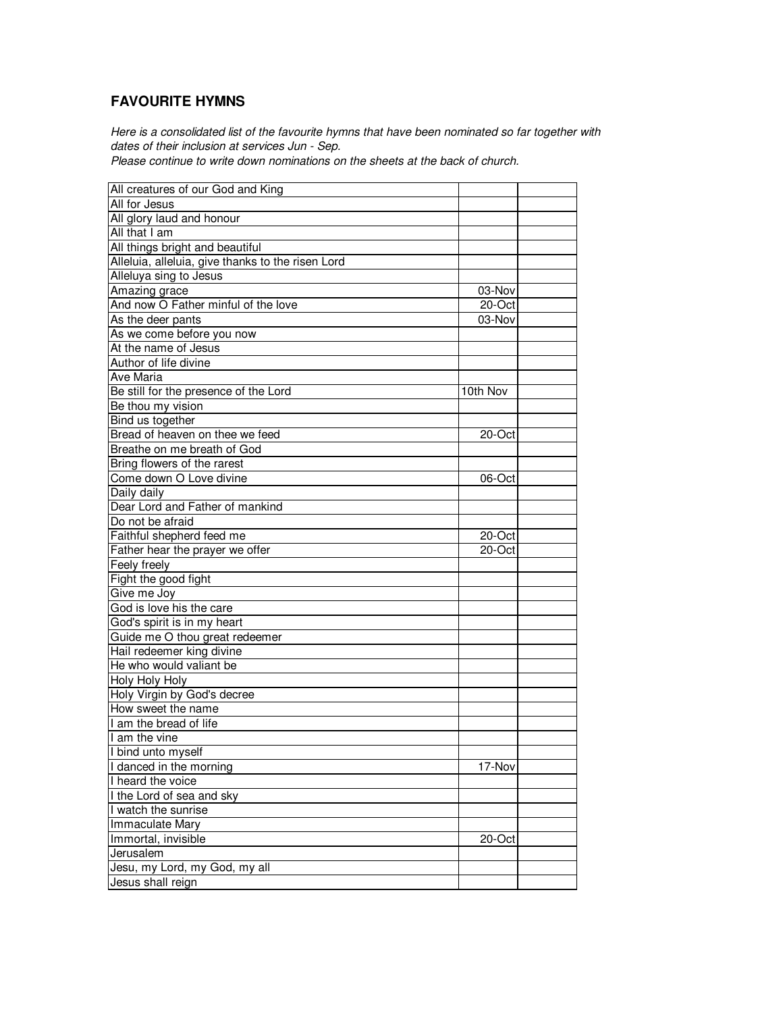## **FAVOURITE HYMNS**

Here is a consolidated list of the favourite hymns that have been nominated so far together with dates of their inclusion at services Jun - Sep.

Please continue to write down nominations on the sheets at the back of church.

| All creatures of our God and King                 |          |  |
|---------------------------------------------------|----------|--|
| All for Jesus                                     |          |  |
| All glory laud and honour                         |          |  |
| All that I am                                     |          |  |
| All things bright and beautiful                   |          |  |
| Alleluia, alleluia, give thanks to the risen Lord |          |  |
| Alleluya sing to Jesus                            |          |  |
| Amazing grace                                     | 03-Nov   |  |
| And now O Father minful of the love               | 20-Oct   |  |
| As the deer pants                                 | 03-Nov   |  |
| As we come before you now                         |          |  |
| At the name of Jesus                              |          |  |
| Author of life divine                             |          |  |
| Ave Maria                                         |          |  |
| Be still for the presence of the Lord             | 10th Nov |  |
| Be thou my vision                                 |          |  |
| Bind us together                                  |          |  |
| Bread of heaven on thee we feed                   | 20-Oct   |  |
| Breathe on me breath of God                       |          |  |
| Bring flowers of the rarest                       |          |  |
| Come down O Love divine                           | 06-Oct   |  |
| Daily daily                                       |          |  |
| Dear Lord and Father of mankind                   |          |  |
| Do not be afraid                                  |          |  |
| Faithful shepherd feed me                         | 20-Oct   |  |
| Father hear the prayer we offer                   | 20-Oct   |  |
| Feely freely                                      |          |  |
| Fight the good fight                              |          |  |
| Give me Joy                                       |          |  |
| God is love his the care                          |          |  |
| God's spirit is in my heart                       |          |  |
| Guide me O thou great redeemer                    |          |  |
| Hail redeemer king divine                         |          |  |
| He who would valiant be                           |          |  |
| Holy Holy Holy                                    |          |  |
| Holy Virgin by God's decree                       |          |  |
| How sweet the name                                |          |  |
| I am the bread of life                            |          |  |
| I am the vine                                     |          |  |
| bind unto myself                                  |          |  |
| I danced in the morning                           | 17-Nov   |  |
| I heard the voice                                 |          |  |
| I the Lord of sea and sky                         |          |  |
| I watch the sunrise                               |          |  |
| Immaculate Mary                                   |          |  |
| Immortal, invisible                               | 20-Oct   |  |
| Jerusalem                                         |          |  |
| Jesu, my Lord, my God, my all                     |          |  |
| Jesus shall reign                                 |          |  |